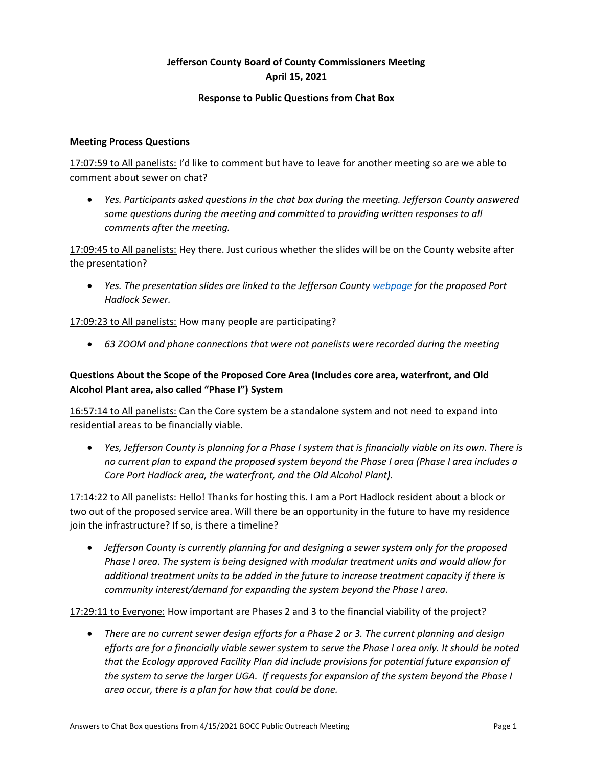# **Jefferson County Board of County Commissioners Meeting April 15, 2021**

#### **Response to Public Questions from Chat Box**

#### **Meeting Process Questions**

17:07:59 to All panelists: I'd like to comment but have to leave for another meeting so are we able to comment about sewer on chat?

• *Yes. Participants asked questions in the chat box during the meeting. Jefferson County answered some questions during the meeting and committed to providing written responses to all comments after the meeting.* 

17:09:45 to All panelists: Hey there. Just curious whether the slides will be on the County website after the presentation?

• *Yes. The presentation slides are linked to the Jefferson County [webpage](https://www.co.jefferson.wa.us/1158/Port-Hadlock-Wastewater-System) for the proposed Port Hadlock Sewer.* 

17:09:23 to All panelists: How many people are participating?

• *63 ZOOM and phone connections that were not panelists were recorded during the meeting*

## **Questions About the Scope of the Proposed Core Area (Includes core area, waterfront, and Old Alcohol Plant area, also called "Phase I") System**

16:57:14 to All panelists: Can the Core system be a standalone system and not need to expand into residential areas to be financially viable.

• *Yes, Jefferson County is planning for a Phase I system that is financially viable on its own. There is no current plan to expand the proposed system beyond the Phase I area (Phase I area includes a Core Port Hadlock area, the waterfront, and the Old Alcohol Plant).* 

17:14:22 to All panelists: Hello! Thanks for hosting this. I am a Port Hadlock resident about a block or two out of the proposed service area. Will there be an opportunity in the future to have my residence join the infrastructure? If so, is there a timeline?

• *Jefferson County is currently planning for and designing a sewer system only for the proposed Phase I area. The system is being designed with modular treatment units and would allow for additional treatment units to be added in the future to increase treatment capacity if there is community interest/demand for expanding the system beyond the Phase I area.* 

17:29:11 to Everyone: How important are Phases 2 and 3 to the financial viability of the project?

• *There are no current sewer design efforts for a Phase 2 or 3. The current planning and design efforts are for a financially viable sewer system to serve the Phase I area only. It should be noted that the Ecology approved Facility Plan did include provisions for potential future expansion of the system to serve the larger UGA. If requests for expansion of the system beyond the Phase I area occur, there is a plan for how that could be done.*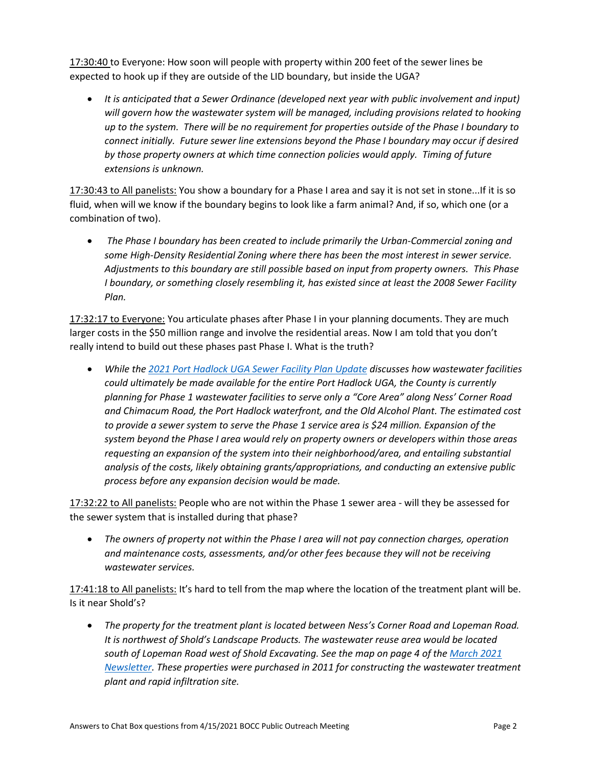17:30:40 to Everyone: How soon will people with property within 200 feet of the sewer lines be expected to hook up if they are outside of the LID boundary, but inside the UGA?

• *It is anticipated that a Sewer Ordinance (developed next year with public involvement and input) will govern how the wastewater system will be managed, including provisions related to hooking up to the system. There will be no requirement for properties outside of the Phase I boundary to connect initially. Future sewer line extensions beyond the Phase I boundary may occur if desired by those property owners at which time connection policies would apply. Timing of future extensions is unknown.*

17:30:43 to All panelists: You show a boundary for a Phase I area and say it is not set in stone...If it is so fluid, when will we know if the boundary begins to look like a farm animal? And, if so, which one (or a combination of two).

• *The Phase I boundary has been created to include primarily the Urban-Commercial zoning and some High-Density Residential Zoning where there has been the most interest in sewer service. Adjustments to this boundary are still possible based on input from property owners. This Phase I boundary, or something closely resembling it, has existed since at least the 2008 Sewer Facility Plan.*

17:32:17 to Everyone: You articulate phases after Phase I in your planning documents. They are much larger costs in the \$50 million range and involve the residential areas. Now I am told that you don't really intend to build out these phases past Phase I. What is the truth?

• *While the 2021 [Port Hadlock UGA Sewer Facility Plan](https://www.co.jefferson.wa.us/DocumentCenter/View/12022/2021-Final-Sewer-Facility-Plan-Update) Update discusses how wastewater facilities could ultimately be made available for the entire Port Hadlock UGA, the County is currently planning for Phase 1 wastewater facilities to serve only a "Core Area" along Ness' Corner Road and Chimacum Road, the Port Hadlock waterfront, and the Old Alcohol Plant. The estimated cost to provide a sewer system to serve the Phase 1 service area is \$24 million. Expansion of the system beyond the Phase I area would rely on property owners or developers within those areas requesting an expansion of the system into their neighborhood/area, and entailing substantial analysis of the costs, likely obtaining grants/appropriations, and conducting an extensive public process before any expansion decision would be made.*

17:32:22 to All panelists: People who are not within the Phase 1 sewer area - will they be assessed for the sewer system that is installed during that phase?

• *The owners of property not within the Phase I area will not pay connection charges, operation and maintenance costs, assessments, and/or other fees because they will not be receiving wastewater services.* 

17:41:18 to All panelists: It's hard to tell from the map where the location of the treatment plant will be. Is it near Shold's?

• *The property for the treatment plant is located between Ness's Corner Road and Lopeman Road. It is northwest of Shold's Landscape Products. The wastewater reuse area would be located south of Lopeman Road west of Shold Excavating. See the map on page 4 of th[e March 2021](https://www.co.jefferson.wa.us/DocumentCenter/View/11575/Port-Hadlock-Sewer-Project-March-2021-Newsletter)  [Newsletter.](https://www.co.jefferson.wa.us/DocumentCenter/View/11575/Port-Hadlock-Sewer-Project-March-2021-Newsletter) These properties were purchased in 2011 for constructing the wastewater treatment plant and rapid infiltration site.*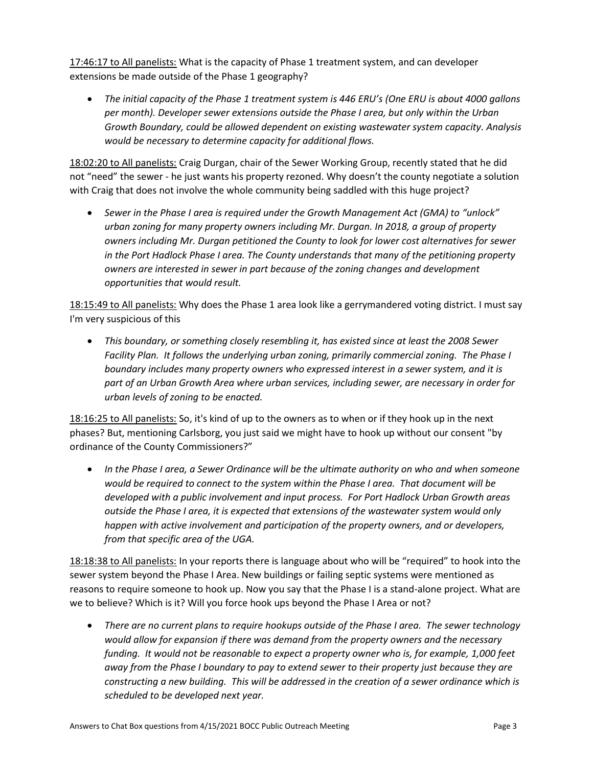17:46:17 to All panelists: What is the capacity of Phase 1 treatment system, and can developer extensions be made outside of the Phase 1 geography?

• *The initial capacity of the Phase 1 treatment system is 446 ERU's (One ERU is about 4000 gallons per month). Developer sewer extensions outside the Phase I area, but only within the Urban Growth Boundary, could be allowed dependent on existing wastewater system capacity. Analysis would be necessary to determine capacity for additional flows.* 

18:02:20 to All panelists: Craig Durgan, chair of the Sewer Working Group, recently stated that he did not "need" the sewer - he just wants his property rezoned. Why doesn't the county negotiate a solution with Craig that does not involve the whole community being saddled with this huge project?

• *Sewer in the Phase I area is required under the Growth Management Act (GMA) to "unlock" urban zoning for many property owners including Mr. Durgan. In 2018, a group of property owners including Mr. Durgan petitioned the County to look for lower cost alternatives for sewer in the Port Hadlock Phase I area. The County understands that many of the petitioning property owners are interested in sewer in part because of the zoning changes and development opportunities that would result.* 

18:15:49 to All panelists: Why does the Phase 1 area look like a gerrymandered voting district. I must say I'm very suspicious of this

• *This boundary, or something closely resembling it, has existed since at least the 2008 Sewer Facility Plan. It follows the underlying urban zoning, primarily commercial zoning. The Phase I boundary includes many property owners who expressed interest in a sewer system, and it is part of an Urban Growth Area where urban services, including sewer, are necessary in order for urban levels of zoning to be enacted.*

18:16:25 to All panelists: So, it's kind of up to the owners as to when or if they hook up in the next phases? But, mentioning Carlsborg, you just said we might have to hook up without our consent "by ordinance of the County Commissioners?"

• *In the Phase I area, a Sewer Ordinance will be the ultimate authority on who and when someone would be required to connect to the system within the Phase I area. That document will be developed with a public involvement and input process. For Port Hadlock Urban Growth areas outside the Phase I area, it is expected that extensions of the wastewater system would only happen with active involvement and participation of the property owners, and or developers, from that specific area of the UGA.* 

18:18:38 to All panelists: In your reports there is language about who will be "required" to hook into the sewer system beyond the Phase I Area. New buildings or failing septic systems were mentioned as reasons to require someone to hook up. Now you say that the Phase I is a stand-alone project. What are we to believe? Which is it? Will you force hook ups beyond the Phase I Area or not?

• *There are no current plans to require hookups outside of the Phase I area. The sewer technology would allow for expansion if there was demand from the property owners and the necessary funding. It would not be reasonable to expect a property owner who is, for example, 1,000 feet away from the Phase I boundary to pay to extend sewer to their property just because they are constructing a new building. This will be addressed in the creation of a sewer ordinance which is scheduled to be developed next year.*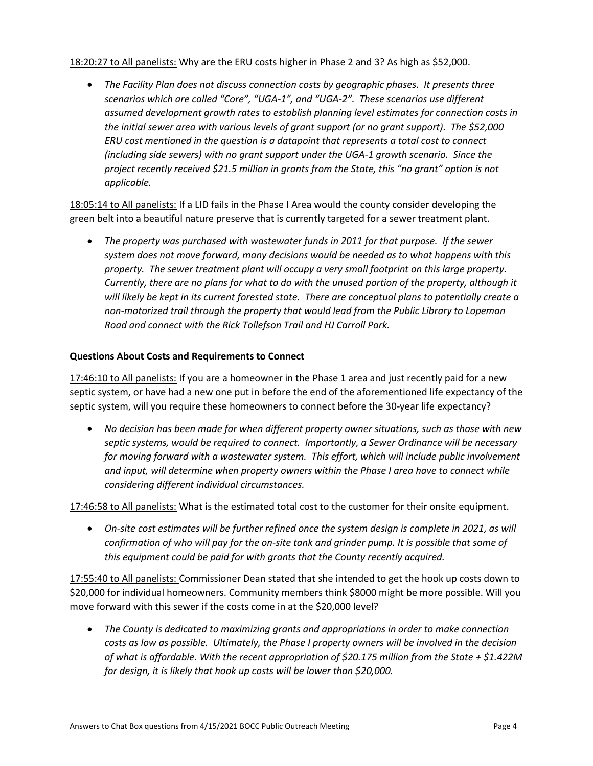18:20:27 to All panelists: Why are the ERU costs higher in Phase 2 and 3? As high as \$52,000.

• *The Facility Plan does not discuss connection costs by geographic phases. It presents three scenarios which are called "Core", "UGA-1", and "UGA-2". These scenarios use different assumed development growth rates to establish planning level estimates for connection costs in the initial sewer area with various levels of grant support (or no grant support). The \$52,000 ERU cost mentioned in the question is a datapoint that represents a total cost to connect (including side sewers) with no grant support under the UGA-1 growth scenario. Since the project recently received \$21.5 million in grants from the State, this "no grant" option is not applicable.* 

18:05:14 to All panelists: If a LID fails in the Phase I Area would the county consider developing the green belt into a beautiful nature preserve that is currently targeted for a sewer treatment plant.

• *The property was purchased with wastewater funds in 2011 for that purpose. If the sewer system does not move forward, many decisions would be needed as to what happens with this property. The sewer treatment plant will occupy a very small footprint on this large property. Currently, there are no plans for what to do with the unused portion of the property, although it will likely be kept in its current forested state. There are conceptual plans to potentially create a non-motorized trail through the property that would lead from the Public Library to Lopeman Road and connect with the Rick Tollefson Trail and HJ Carroll Park.*

#### **Questions About Costs and Requirements to Connect**

17:46:10 to All panelists: If you are a homeowner in the Phase 1 area and just recently paid for a new septic system, or have had a new one put in before the end of the aforementioned life expectancy of the septic system, will you require these homeowners to connect before the 30-year life expectancy?

• *No decision has been made for when different property owner situations, such as those with new septic systems, would be required to connect. Importantly, a Sewer Ordinance will be necessary for moving forward with a wastewater system. This effort, which will include public involvement and input, will determine when property owners within the Phase I area have to connect while considering different individual circumstances.*

17:46:58 to All panelists: What is the estimated total cost to the customer for their onsite equipment.

• *On-site cost estimates will be further refined once the system design is complete in 2021, as will confirmation of who will pay for the on-site tank and grinder pump. It is possible that some of this equipment could be paid for with grants that the County recently acquired.*

17:55:40 to All panelists: Commissioner Dean stated that she intended to get the hook up costs down to \$20,000 for individual homeowners. Community members think \$8000 might be more possible. Will you move forward with this sewer if the costs come in at the \$20,000 level?

• *The County is dedicated to maximizing grants and appropriations in order to make connection costs as low as possible. Ultimately, the Phase I property owners will be involved in the decision of what is affordable. With the recent appropriation of \$20.175 million from the State + \$1.422M for design, it is likely that hook up costs will be lower than \$20,000.*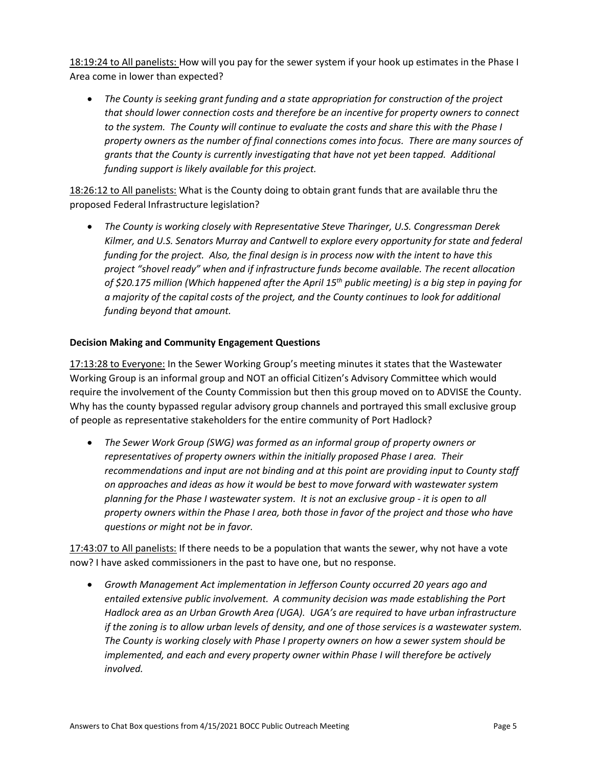18:19:24 to All panelists: How will you pay for the sewer system if your hook up estimates in the Phase I Area come in lower than expected?

• *The County is seeking grant funding and a state appropriation for construction of the project that should lower connection costs and therefore be an incentive for property owners to connect to the system. The County will continue to evaluate the costs and share this with the Phase I property owners as the number of final connections comes into focus. There are many sources of grants that the County is currently investigating that have not yet been tapped. Additional funding support is likely available for this project.*

18:26:12 to All panelists: What is the County doing to obtain grant funds that are available thru the proposed Federal Infrastructure legislation?

• *The County is working closely with Representative Steve Tharinger, U.S. Congressman Derek Kilmer, and U.S. Senators Murray and Cantwell to explore every opportunity for state and federal funding for the project. Also, the final design is in process now with the intent to have this project "shovel ready" when and if infrastructure funds become available. The recent allocation of \$20.175 million (Which happened after the April 15th public meeting) is a big step in paying for a majority of the capital costs of the project, and the County continues to look for additional funding beyond that amount.*

### **Decision Making and Community Engagement Questions**

17:13:28 to Everyone: In the Sewer Working Group's meeting minutes it states that the Wastewater Working Group is an informal group and NOT an official Citizen's Advisory Committee which would require the involvement of the County Commission but then this group moved on to ADVISE the County. Why has the county bypassed regular advisory group channels and portrayed this small exclusive group of people as representative stakeholders for the entire community of Port Hadlock?

• *The Sewer Work Group (SWG) was formed as an informal group of property owners or representatives of property owners within the initially proposed Phase I area. Their recommendations and input are not binding and at this point are providing input to County staff on approaches and ideas as how it would be best to move forward with wastewater system planning for the Phase I wastewater system. It is not an exclusive group - it is open to all property owners within the Phase I area, both those in favor of the project and those who have questions or might not be in favor.* 

17:43:07 to All panelists: If there needs to be a population that wants the sewer, why not have a vote now? I have asked commissioners in the past to have one, but no response.

• *Growth Management Act implementation in Jefferson County occurred 20 years ago and entailed extensive public involvement. A community decision was made establishing the Port Hadlock area as an Urban Growth Area (UGA). UGA's are required to have urban infrastructure if the zoning is to allow urban levels of density, and one of those services is a wastewater system. The County is working closely with Phase I property owners on how a sewer system should be implemented, and each and every property owner within Phase I will therefore be actively involved.*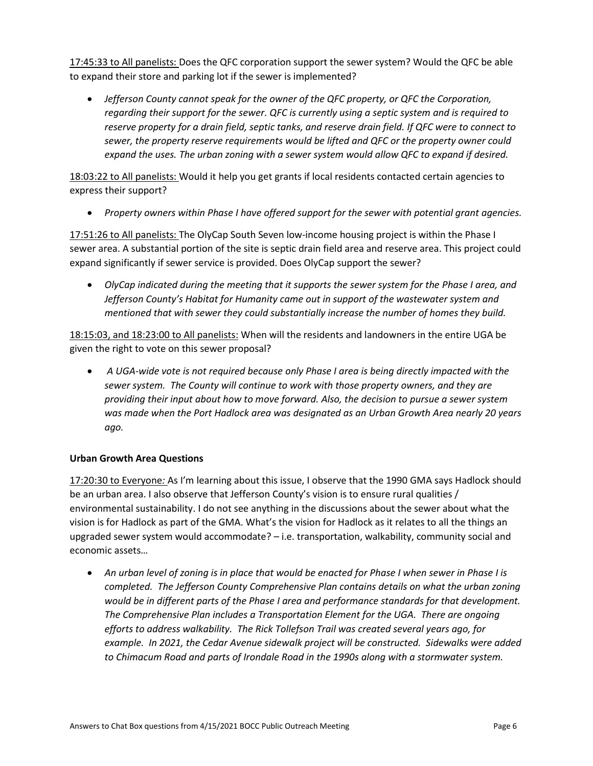17:45:33 to All panelists: Does the QFC corporation support the sewer system? Would the QFC be able to expand their store and parking lot if the sewer is implemented?

• *Jefferson County cannot speak for the owner of the QFC property, or QFC the Corporation, regarding their support for the sewer. QFC is currently using a septic system and is required to reserve property for a drain field, septic tanks, and reserve drain field. If QFC were to connect to sewer, the property reserve requirements would be lifted and QFC or the property owner could expand the uses. The urban zoning with a sewer system would allow QFC to expand if desired.* 

18:03:22 to All panelists: Would it help you get grants if local residents contacted certain agencies to express their support?

• *Property owners within Phase I have offered support for the sewer with potential grant agencies.*

17:51:26 to All panelists: The OlyCap South Seven low-income housing project is within the Phase I sewer area. A substantial portion of the site is septic drain field area and reserve area. This project could expand significantly if sewer service is provided. Does OlyCap support the sewer?

• *OlyCap indicated during the meeting that it supports the sewer system for the Phase I area, and Jefferson County's Habitat for Humanity came out in support of the wastewater system and mentioned that with sewer they could substantially increase the number of homes they build.* 

18:15:03, and 18:23:00 to All panelists: When will the residents and landowners in the entire UGA be given the right to vote on this sewer proposal?

• *A UGA-wide vote is not required because only Phase I area is being directly impacted with the sewer system. The County will continue to work with those property owners, and they are providing their input about how to move forward. Also, the decision to pursue a sewer system was made when the Port Hadlock area was designated as an Urban Growth Area nearly 20 years ago.*

#### **Urban Growth Area Questions**

17:20:30 to Everyone*:* As I'm learning about this issue, I observe that the 1990 GMA says Hadlock should be an urban area. I also observe that Jefferson County's vision is to ensure rural qualities / environmental sustainability. I do not see anything in the discussions about the sewer about what the vision is for Hadlock as part of the GMA. What's the vision for Hadlock as it relates to all the things an upgraded sewer system would accommodate? – i.e. transportation, walkability, community social and economic assets…

• *An urban level of zoning is in place that would be enacted for Phase I when sewer in Phase I is completed. The Jefferson County Comprehensive Plan contains details on what the urban zoning would be in different parts of the Phase I area and performance standards for that development. The Comprehensive Plan includes a Transportation Element for the UGA. There are ongoing efforts to address walkability. The Rick Tollefson Trail was created several years ago, for example. In 2021, the Cedar Avenue sidewalk project will be constructed. Sidewalks were added to Chimacum Road and parts of Irondale Road in the 1990s along with a stormwater system.*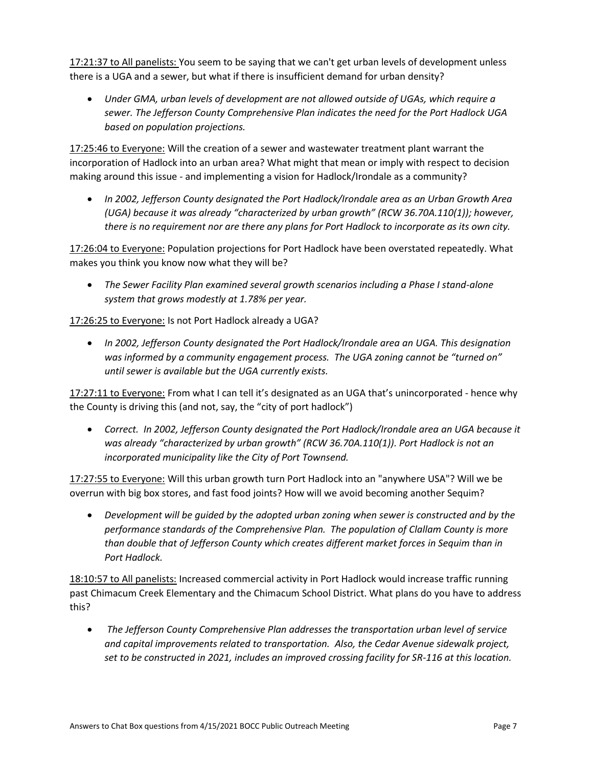17:21:37 to All panelists: You seem to be saying that we can't get urban levels of development unless there is a UGA and a sewer, but what if there is insufficient demand for urban density?

• *Under GMA, urban levels of development are not allowed outside of UGAs, which require a sewer. The Jefferson County Comprehensive Plan indicates the need for the Port Hadlock UGA based on population projections.*

17:25:46 to Everyone: Will the creation of a sewer and wastewater treatment plant warrant the incorporation of Hadlock into an urban area? What might that mean or imply with respect to decision making around this issue - and implementing a vision for Hadlock/Irondale as a community?

• *In 2002, Jefferson County designated the Port Hadlock/Irondale area as an Urban Growth Area (UGA) because it was already "characterized by urban growth" (RCW 36.70A.110(1)); however, there is no requirement nor are there any plans for Port Hadlock to incorporate as its own city.* 

17:26:04 to Everyone: Population projections for Port Hadlock have been overstated repeatedly. What makes you think you know now what they will be?

• *The Sewer Facility Plan examined several growth scenarios including a Phase I stand-alone system that grows modestly at 1.78% per year.*

# 17:26:25 to Everyone: Is not Port Hadlock already a UGA?

• *In 2002, Jefferson County designated the Port Hadlock/Irondale area an UGA. This designation was informed by a community engagement process. The UGA zoning cannot be "turned on" until sewer is available but the UGA currently exists.*

17:27:11 to Everyone: From what I can tell it's designated as an UGA that's unincorporated - hence why the County is driving this (and not, say, the "city of port hadlock")

• *Correct. In 2002, Jefferson County designated the Port Hadlock/Irondale area an UGA because it was already "characterized by urban growth" (RCW 36.70A.110(1)). Port Hadlock is not an incorporated municipality like the City of Port Townsend.* 

17:27:55 to Everyone: Will this urban growth turn Port Hadlock into an "anywhere USA"? Will we be overrun with big box stores, and fast food joints? How will we avoid becoming another Sequim?

• *Development will be guided by the adopted urban zoning when sewer is constructed and by the performance standards of the Comprehensive Plan. The population of Clallam County is more than double that of Jefferson County which creates different market forces in Sequim than in Port Hadlock.*

18:10:57 to All panelists: Increased commercial activity in Port Hadlock would increase traffic running past Chimacum Creek Elementary and the Chimacum School District. What plans do you have to address this?

• *The Jefferson County Comprehensive Plan addresses the transportation urban level of service and capital improvements related to transportation. Also, the Cedar Avenue sidewalk project, set to be constructed in 2021, includes an improved crossing facility for SR-116 at this location.*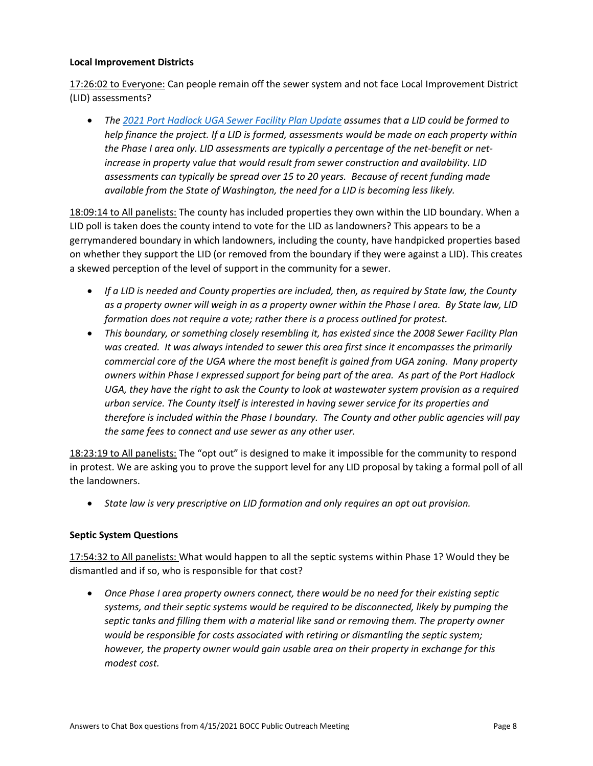### **Local Improvement Districts**

17:26:02 to Everyone: Can people remain off the sewer system and not face Local Improvement District (LID) assessments?

• *The [2021 Port Hadlock UGA Sewer Facility Plan Update](https://www.co.jefferson.wa.us/DocumentCenter/View/12022/2021-Final-Sewer-Facility-Plan-Update) assumes that a LID could be formed to help finance the project. If a LID is formed, assessments would be made on each property within the Phase I area only. LID assessments are typically a percentage of the net-benefit or netincrease in property value that would result from sewer construction and availability. LID assessments can typically be spread over 15 to 20 years. Because of recent funding made available from the State of Washington, the need for a LID is becoming less likely.*

18:09:14 to All panelists: The county has included properties they own within the LID boundary. When a LID poll is taken does the county intend to vote for the LID as landowners? This appears to be a gerrymandered boundary in which landowners, including the county, have handpicked properties based on whether they support the LID (or removed from the boundary if they were against a LID). This creates a skewed perception of the level of support in the community for a sewer.

- *If a LID is needed and County properties are included, then, as required by State law, the County as a property owner will weigh in as a property owner within the Phase I area. By State law, LID formation does not require a vote; rather there is a process outlined for protest.*
- *This boundary, or something closely resembling it, has existed since the 2008 Sewer Facility Plan*  was created. It was always intended to sewer this area first since it encompasses the primarily *commercial core of the UGA where the most benefit is gained from UGA zoning. Many property owners within Phase I expressed support for being part of the area. As part of the Port Hadlock UGA, they have the right to ask the County to look at wastewater system provision as a required urban service. The County itself is interested in having sewer service for its properties and therefore is included within the Phase I boundary. The County and other public agencies will pay the same fees to connect and use sewer as any other user.*

18:23:19 to All panelists: The "opt out" is designed to make it impossible for the community to respond in protest. We are asking you to prove the support level for any LID proposal by taking a formal poll of all the landowners.

• *State law is very prescriptive on LID formation and only requires an opt out provision.*

#### **Septic System Questions**

17:54:32 to All panelists: What would happen to all the septic systems within Phase 1? Would they be dismantled and if so, who is responsible for that cost?

• *Once Phase I area property owners connect, there would be no need for their existing septic systems, and their septic systems would be required to be disconnected, likely by pumping the septic tanks and filling them with a material like sand or removing them. The property owner would be responsible for costs associated with retiring or dismantling the septic system; however, the property owner would gain usable area on their property in exchange for this modest cost.*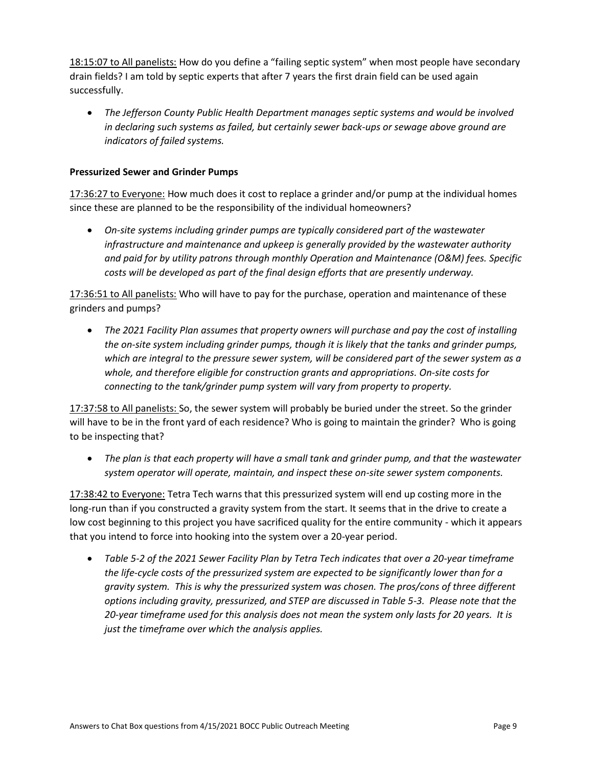18:15:07 to All panelists: How do you define a "failing septic system" when most people have secondary drain fields? I am told by septic experts that after 7 years the first drain field can be used again successfully.

• *The Jefferson County Public Health Department manages septic systems and would be involved in declaring such systems as failed, but certainly sewer back-ups or sewage above ground are indicators of failed systems.* 

### **Pressurized Sewer and Grinder Pumps**

17:36:27 to Everyone: How much does it cost to replace a grinder and/or pump at the individual homes since these are planned to be the responsibility of the individual homeowners?

• *On-site systems including grinder pumps are typically considered part of the wastewater infrastructure and maintenance and upkeep is generally provided by the wastewater authority and paid for by utility patrons through monthly Operation and Maintenance (O&M) fees. Specific costs will be developed as part of the final design efforts that are presently underway.*

17:36:51 to All panelists: Who will have to pay for the purchase, operation and maintenance of these grinders and pumps?

• *The 2021 Facility Plan assumes that property owners will purchase and pay the cost of installing the on-site system including grinder pumps, though it is likely that the tanks and grinder pumps, which are integral to the pressure sewer system, will be considered part of the sewer system as a whole, and therefore eligible for construction grants and appropriations. On-site costs for connecting to the tank/grinder pump system will vary from property to property.*

17:37:58 to All panelists: So, the sewer system will probably be buried under the street. So the grinder will have to be in the front yard of each residence? Who is going to maintain the grinder? Who is going to be inspecting that?

• *The plan is that each property will have a small tank and grinder pump, and that the wastewater system operator will operate, maintain, and inspect these on-site sewer system components.*

17:38:42 to Everyone: Tetra Tech warns that this pressurized system will end up costing more in the long-run than if you constructed a gravity system from the start. It seems that in the drive to create a low cost beginning to this project you have sacrificed quality for the entire community - which it appears that you intend to force into hooking into the system over a 20-year period.

• *Table 5-2 of the 2021 Sewer Facility Plan by Tetra Tech indicates that over a 20-year timeframe the life-cycle costs of the pressurized system are expected to be significantly lower than for a gravity system. This is why the pressurized system was chosen. The pros/cons of three different options including gravity, pressurized, and STEP are discussed in Table 5-3. Please note that the 20-year timeframe used for this analysis does not mean the system only lasts for 20 years. It is just the timeframe over which the analysis applies.*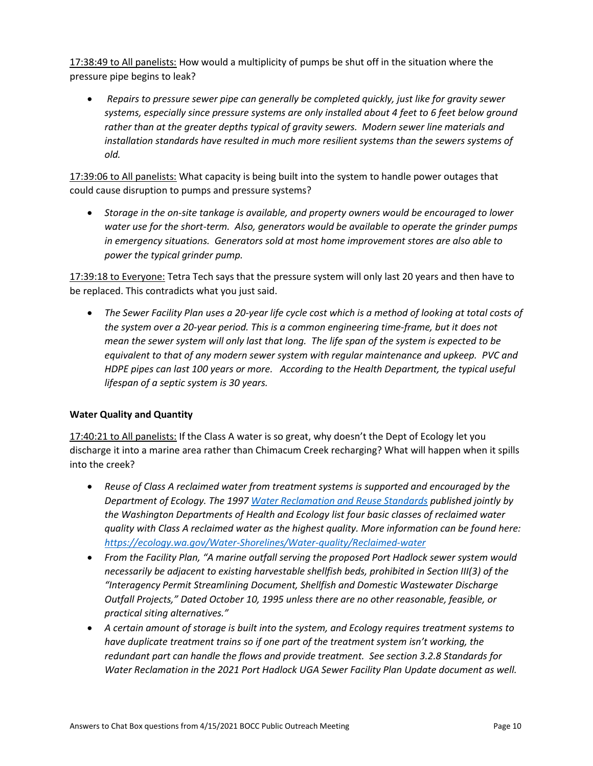17:38:49 to All panelists: How would a multiplicity of pumps be shut off in the situation where the pressure pipe begins to leak?

• *Repairs to pressure sewer pipe can generally be completed quickly, just like for gravity sewer systems, especially since pressure systems are only installed about 4 feet to 6 feet below ground* rather than at the greater depths typical of gravity sewers. Modern sewer line materials and *installation standards have resulted in much more resilient systems than the sewers systems of old.*

17:39:06 to All panelists: What capacity is being built into the system to handle power outages that could cause disruption to pumps and pressure systems?

• *Storage in the on-site tankage is available, and property owners would be encouraged to lower water use for the short-term. Also, generators would be available to operate the grinder pumps in emergency situations. Generators sold at most home improvement stores are also able to power the typical grinder pump.*

17:39:18 to Everyone: Tetra Tech says that the pressure system will only last 20 years and then have to be replaced. This contradicts what you just said.

• *The Sewer Facility Plan uses a 20-year life cycle cost which is a method of looking at total costs of the system over a 20-year period. This is a common engineering time-frame, but it does not mean the sewer system will only last that long. The life span of the system is expected to be equivalent to that of any modern sewer system with regular maintenance and upkeep. PVC and HDPE pipes can last 100 years or more. According to the Health Department, the typical useful lifespan of a septic system is 30 years.*

## **Water Quality and Quantity**

17:40:21 to All panelists: If the Class A water is so great, why doesn't the Dept of Ecology let you discharge it into a marine area rather than Chimacum Creek recharging? What will happen when it spills into the creek?

- *Reuse of Class A reclaimed water from treatment systems is supported and encouraged by the Department of Ecology. The 1997 [Water Reclamation and Reuse Standards](https://apps.ecology.wa.gov/publications/documents/97023.pdf) published jointly by the Washington Departments of Health and Ecology list four basic classes of reclaimed water quality with Class A reclaimed water as the highest quality. More information can be found here: <https://ecology.wa.gov/Water-Shorelines/Water-quality/Reclaimed-water>*
- *From the Facility Plan, "A marine outfall serving the proposed Port Hadlock sewer system would necessarily be adjacent to existing harvestable shellfish beds, prohibited in Section III(3) of the "Interagency Permit Streamlining Document, Shellfish and Domestic Wastewater Discharge Outfall Projects," Dated October 10, 1995 unless there are no other reasonable, feasible, or practical siting alternatives."*
- *A certain amount of storage is built into the system, and Ecology requires treatment systems to have duplicate treatment trains so if one part of the treatment system isn't working, the redundant part can handle the flows and provide treatment. See section 3.2.8 Standards for Water Reclamation in the 2021 Port Hadlock UGA Sewer Facility Plan Update document as well.*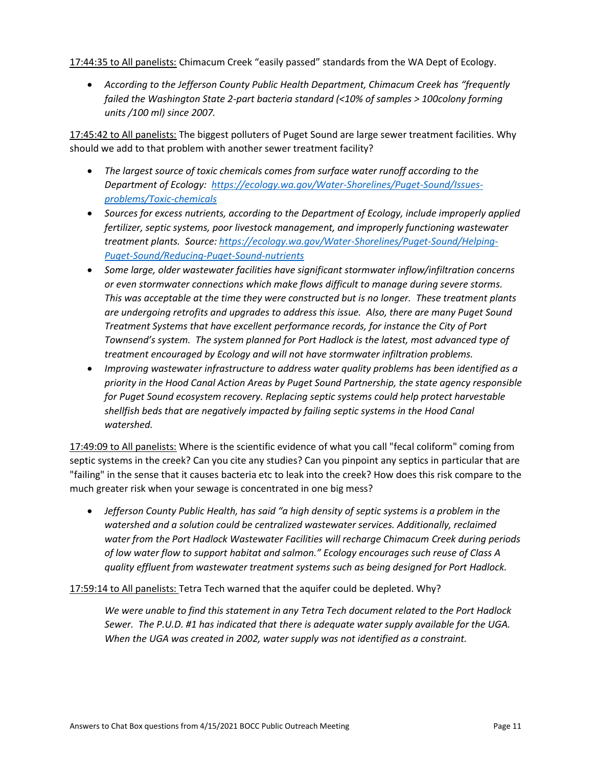17:44:35 to All panelists: Chimacum Creek "easily passed" standards from the WA Dept of Ecology.

• According to the Jefferson County Public Health Department, Chimacum Creek has "frequently *failed the Washington State 2-part bacteria standard (<10% of samples > 100colony forming units /100 ml) since 2007.*

17:45:42 to All panelists: The biggest polluters of Puget Sound are large sewer treatment facilities. Why should we add to that problem with another sewer treatment facility?

- *The largest source of toxic chemicals comes from surface water runoff according to the Department of Ecology: [https://ecology.wa.gov/Water-Shorelines/Puget-Sound/Issues](https://ecology.wa.gov/Water-Shorelines/Puget-Sound/Issues-problems/Toxic-chemicals)[problems/Toxic-chemicals](https://ecology.wa.gov/Water-Shorelines/Puget-Sound/Issues-problems/Toxic-chemicals)*
- *Sources for excess nutrients, according to the Department of Ecology, include improperly applied fertilizer, septic systems, poor livestock management, and improperly functioning wastewater treatment plants. Source[: https://ecology.wa.gov/Water-Shorelines/Puget-Sound/Helping-](https://ecology.wa.gov/Water-Shorelines/Puget-Sound/Helping-Puget-Sound/Reducing-Puget-Sound-nutrients)[Puget-Sound/Reducing-Puget-Sound-nutrients](https://ecology.wa.gov/Water-Shorelines/Puget-Sound/Helping-Puget-Sound/Reducing-Puget-Sound-nutrients)*
- *Some large, older wastewater facilities have significant stormwater inflow/infiltration concerns or even stormwater connections which make flows difficult to manage during severe storms. This was acceptable at the time they were constructed but is no longer. These treatment plants are undergoing retrofits and upgrades to address this issue. Also, there are many Puget Sound Treatment Systems that have excellent performance records, for instance the City of Port Townsend's system. The system planned for Port Hadlock is the latest, most advanced type of treatment encouraged by Ecology and will not have stormwater infiltration problems.*
- *Improving wastewater infrastructure to address water quality problems has been identified as a priority in the Hood Canal Action Areas by Puget Sound Partnership, the state agency responsible for Puget Sound ecosystem recovery. Replacing septic systems could help protect harvestable shellfish beds that are negatively impacted by failing septic systems in the Hood Canal watershed.*

17:49:09 to All panelists: Where is the scientific evidence of what you call "fecal coliform" coming from septic systems in the creek? Can you cite any studies? Can you pinpoint any septics in particular that are "failing" in the sense that it causes bacteria etc to leak into the creek? How does this risk compare to the much greater risk when your sewage is concentrated in one big mess?

• *Jefferson County Public Health, has said "a high density of septic systems is a problem in the watershed and a solution could be centralized wastewater services. Additionally, reclaimed water from the Port Hadlock Wastewater Facilities will recharge Chimacum Creek during periods of low water flow to support habitat and salmon." Ecology encourages such reuse of Class A quality effluent from wastewater treatment systems such as being designed for Port Hadlock.*

## 17:59:14 to All panelists: Tetra Tech warned that the aquifer could be depleted. Why?

*We were unable to find this statement in any Tetra Tech document related to the Port Hadlock Sewer. The P.U.D. #1 has indicated that there is adequate water supply available for the UGA. When the UGA was created in 2002, water supply was not identified as a constraint.*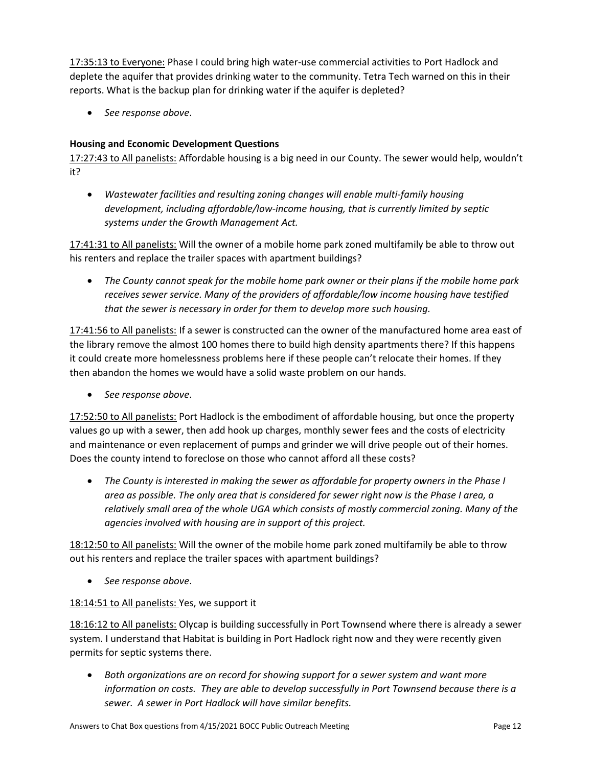17:35:13 to Everyone: Phase I could bring high water-use commercial activities to Port Hadlock and deplete the aquifer that provides drinking water to the community. Tetra Tech warned on this in their reports. What is the backup plan for drinking water if the aquifer is depleted?

• *See response above*.

## **Housing and Economic Development Questions**

17:27:43 to All panelists: Affordable housing is a big need in our County. The sewer would help, wouldn't it?

• *Wastewater facilities and resulting zoning changes will enable multi-family housing development, including affordable/low-income housing, that is currently limited by septic systems under the Growth Management Act.*

17:41:31 to All panelists: Will the owner of a mobile home park zoned multifamily be able to throw out his renters and replace the trailer spaces with apartment buildings?

• *The County cannot speak for the mobile home park owner or their plans if the mobile home park receives sewer service. Many of the providers of affordable/low income housing have testified that the sewer is necessary in order for them to develop more such housing.*

17:41:56 to All panelists: If a sewer is constructed can the owner of the manufactured home area east of the library remove the almost 100 homes there to build high density apartments there? If this happens it could create more homelessness problems here if these people can't relocate their homes. If they then abandon the homes we would have a solid waste problem on our hands.

• *See response above*.

17:52:50 to All panelists: Port Hadlock is the embodiment of affordable housing, but once the property values go up with a sewer, then add hook up charges, monthly sewer fees and the costs of electricity and maintenance or even replacement of pumps and grinder we will drive people out of their homes. Does the county intend to foreclose on those who cannot afford all these costs?

• *The County is interested in making the sewer as affordable for property owners in the Phase I area as possible. The only area that is considered for sewer right now is the Phase I area, a relatively small area of the whole UGA which consists of mostly commercial zoning. Many of the agencies involved with housing are in support of this project.* 

18:12:50 to All panelists: Will the owner of the mobile home park zoned multifamily be able to throw out his renters and replace the trailer spaces with apartment buildings?

• *See response above*.

## 18:14:51 to All panelists: Yes, we support it

18:16:12 to All panelists: Olycap is building successfully in Port Townsend where there is already a sewer system. I understand that Habitat is building in Port Hadlock right now and they were recently given permits for septic systems there.

• *Both organizations are on record for showing support for a sewer system and want more information on costs. They are able to develop successfully in Port Townsend because there is a sewer. A sewer in Port Hadlock will have similar benefits.*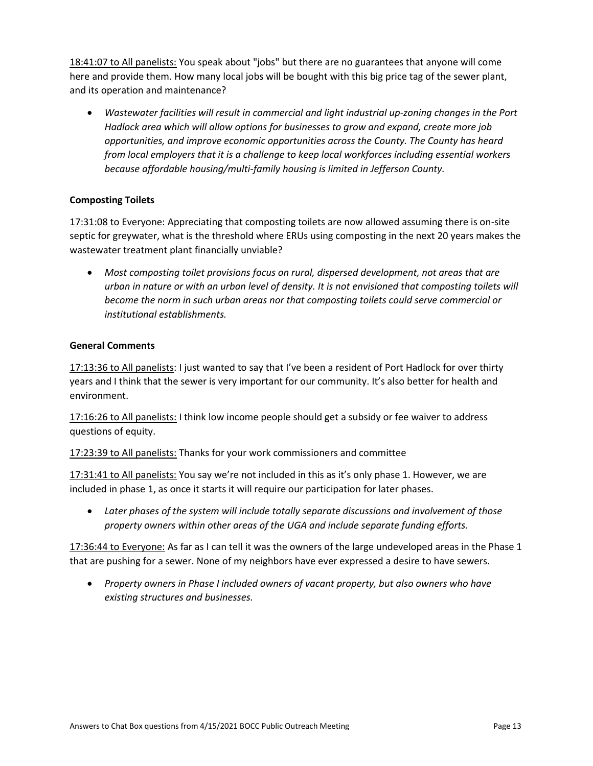18:41:07 to All panelists: You speak about "jobs" but there are no guarantees that anyone will come here and provide them. How many local jobs will be bought with this big price tag of the sewer plant, and its operation and maintenance?

• *Wastewater facilities will result in commercial and light industrial up-zoning changes in the Port Hadlock area which will allow options for businesses to grow and expand, create more job opportunities, and improve economic opportunities across the County. The County has heard from local employers that it is a challenge to keep local workforces including essential workers because affordable housing/multi-family housing is limited in Jefferson County.* 

### **Composting Toilets**

17:31:08 to Everyone: Appreciating that composting toilets are now allowed assuming there is on-site septic for greywater, what is the threshold where ERUs using composting in the next 20 years makes the wastewater treatment plant financially unviable?

• *Most composting toilet provisions focus on rural, dispersed development, not areas that are urban in nature or with an urban level of density. It is not envisioned that composting toilets will become the norm in such urban areas nor that composting toilets could serve commercial or institutional establishments.*

### **General Comments**

17:13:36 to All panelists: I just wanted to say that I've been a resident of Port Hadlock for over thirty years and I think that the sewer is very important for our community. It's also better for health and environment.

17:16:26 to All panelists: I think low income people should get a subsidy or fee waiver to address questions of equity.

17:23:39 to All panelists: Thanks for your work commissioners and committee

17:31:41 to All panelists: You say we're not included in this as it's only phase 1. However, we are included in phase 1, as once it starts it will require our participation for later phases.

• *Later phases of the system will include totally separate discussions and involvement of those property owners within other areas of the UGA and include separate funding efforts.* 

17:36:44 to Everyone: As far as I can tell it was the owners of the large undeveloped areas in the Phase 1 that are pushing for a sewer. None of my neighbors have ever expressed a desire to have sewers.

• *Property owners in Phase I included owners of vacant property, but also owners who have existing structures and businesses.*